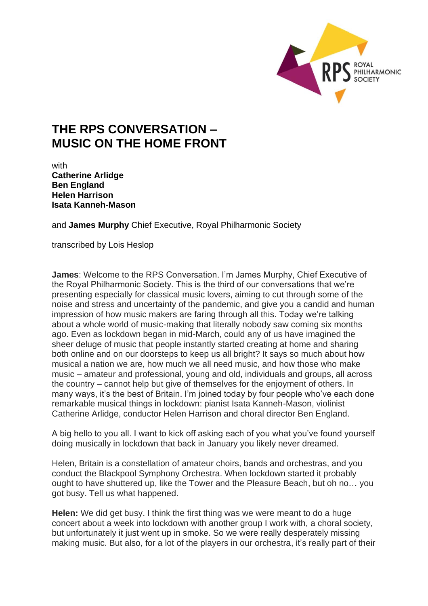

## **THE RPS CONVERSATION – MUSIC ON THE HOME FRONT**

with **Catherine Arlidge Ben England Helen Harrison Isata Kanneh-Mason**

and **James Murphy** Chief Executive, Royal Philharmonic Society

transcribed by Lois Heslop

**James**: Welcome to the RPS Conversation. I'm James Murphy, Chief Executive of the Royal Philharmonic Society. This is the third of our conversations that we're presenting especially for classical music lovers, aiming to cut through some of the noise and stress and uncertainty of the pandemic, and give you a candid and human impression of how music makers are faring through all this. Today we're talking about a whole world of music-making that literally nobody saw coming six months ago. Even as lockdown began in mid-March, could any of us have imagined the sheer deluge of music that people instantly started creating at home and sharing both online and on our doorsteps to keep us all bright? It says so much about how musical a nation we are, how much we all need music, and how those who make music – amateur and professional, young and old, individuals and groups, all across the country – cannot help but give of themselves for the enjoyment of others. In many ways, it's the best of Britain. I'm joined today by four people who've each done remarkable musical things in lockdown: pianist Isata Kanneh-Mason, violinist Catherine Arlidge, conductor Helen Harrison and choral director Ben England.

A big hello to you all. I want to kick off asking each of you what you've found yourself doing musically in lockdown that back in January you likely never dreamed.

Helen, Britain is a constellation of amateur choirs, bands and orchestras, and you conduct the Blackpool Symphony Orchestra. When lockdown started it probably ought to have shuttered up, like the Tower and the Pleasure Beach, but oh no… you got busy. Tell us what happened.

**Helen:** We did get busy. I think the first thing was we were meant to do a huge concert about a week into lockdown with another group I work with, a choral society, but unfortunately it just went up in smoke. So we were really desperately missing making music. But also, for a lot of the players in our orchestra, it's really part of their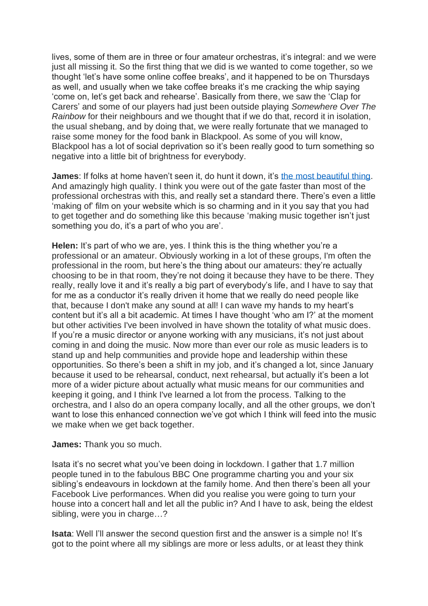lives, some of them are in three or four amateur orchestras, it's integral: and we were just all missing it. So the first thing that we did is we wanted to come together, so we thought 'let's have some online coffee breaks', and it happened to be on Thursdays as well, and usually when we take coffee breaks it's me cracking the whip saying 'come on, let's get back and rehearse'. Basically from there, we saw the 'Clap for Carers' and some of our players had just been outside playing *Somewhere Over The Rainbow* for their neighbours and we thought that if we do that, record it in isolation, the usual shebang, and by doing that, we were really fortunate that we managed to raise some money for the food bank in Blackpool. As some of you will know, Blackpool has a lot of social deprivation so it's been really good to turn something so negative into a little bit of brightness for everybody.

**James**: If folks at home haven't seen it, do hunt it down, it's [the most beautiful thing.](https://www.blackpoolsymphony.co.uk/bso-in-lockdown) And amazingly high quality. I think you were out of the gate faster than most of the professional orchestras with this, and really set a standard there. There's even a little 'making of' film on your website which is so charming and in it you say that you had to get together and do something like this because 'making music together isn't just something you do, it's a part of who you are'.

**Helen:** It's part of who we are, yes. I think this is the thing whether you're a professional or an amateur. Obviously working in a lot of these groups, I'm often the professional in the room, but here's the thing about our amateurs: they're actually choosing to be in that room, they're not doing it because they have to be there. They really, really love it and it's really a big part of everybody's life, and I have to say that for me as a conductor it's really driven it home that we really do need people like that, because I don't make any sound at all! I can wave my hands to my heart's content but it's all a bit academic. At times I have thought 'who am I?' at the moment but other activities I've been involved in have shown the totality of what music does. If you're a music director or anyone working with any musicians, it's not just about coming in and doing the music. Now more than ever our role as music leaders is to stand up and help communities and provide hope and leadership within these opportunities. So there's been a shift in my job, and it's changed a lot, since January because it used to be rehearsal, conduct, next rehearsal, but actually it's been a lot more of a wider picture about actually what music means for our communities and keeping it going, and I think I've learned a lot from the process. Talking to the orchestra, and I also do an opera company locally, and all the other groups, we don't want to lose this enhanced connection we've got which I think will feed into the music we make when we get back together.

## **James:** Thank you so much.

Isata it's no secret what you've been doing in lockdown. I gather that 1.7 million people tuned in to the fabulous BBC One programme charting you and your six sibling's endeavours in lockdown at the family home. And then there's been all your Facebook Live performances. When did you realise you were going to turn your house into a concert hall and let all the public in? And I have to ask, being the eldest sibling, were you in charge…?

**Isata:** Well I'll answer the second question first and the answer is a simple no! It's got to the point where all my siblings are more or less adults, or at least they think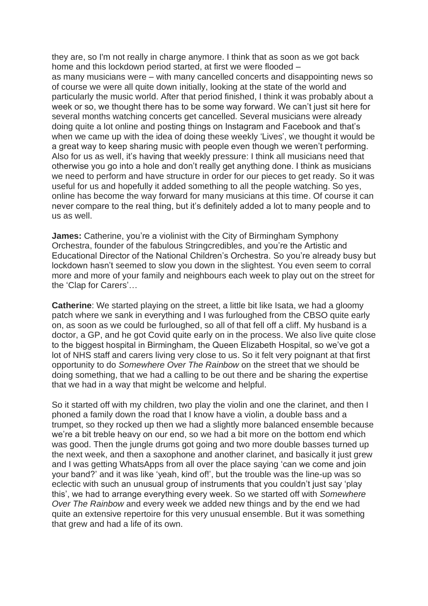they are, so I'm not really in charge anymore. I think that as soon as we got back home and this lockdown period started, at first we were flooded – as many musicians were – with many cancelled concerts and disappointing news so of course we were all quite down initially, looking at the state of the world and particularly the music world. After that period finished, I think it was probably about a week or so, we thought there has to be some way forward. We can't just sit here for several months watching concerts get cancelled. Several musicians were already doing quite a lot online and posting things on Instagram and Facebook and that's when we came up with the idea of doing these weekly 'Lives', we thought it would be a great way to keep sharing music with people even though we weren't performing. Also for us as well, it's having that weekly pressure: I think all musicians need that otherwise you go into a hole and don't really get anything done. I think as musicians we need to perform and have structure in order for our pieces to get ready. So it was useful for us and hopefully it added something to all the people watching. So yes, online has become the way forward for many musicians at this time. Of course it can never compare to the real thing, but it's definitely added a lot to many people and to us as well.

**James:** Catherine, you're a violinist with the City of Birmingham Symphony Orchestra, founder of the fabulous Stringcredibles, and you're the Artistic and Educational Director of the National Children's Orchestra. So you're already busy but lockdown hasn't seemed to slow you down in the slightest. You even seem to corral more and more of your family and neighbours each week to play out on the street for the 'Clap for Carers'…

**Catherine**: We started playing on the street, a little bit like Isata, we had a gloomy patch where we sank in everything and I was furloughed from the CBSO quite early on, as soon as we could be furloughed, so all of that fell off a cliff. My husband is a doctor, a GP, and he got Covid quite early on in the process. We also live quite close to the biggest hospital in Birmingham, the Queen Elizabeth Hospital, so we've got a lot of NHS staff and carers living very close to us. So it felt very poignant at that first opportunity to do *Somewhere Over The Rainbow* on the street that we should be doing something, that we had a calling to be out there and be sharing the expertise that we had in a way that might be welcome and helpful.

So it started off with my children, two play the violin and one the clarinet, and then I phoned a family down the road that I know have a violin, a double bass and a trumpet, so they rocked up then we had a slightly more balanced ensemble because we're a bit treble heavy on our end, so we had a bit more on the bottom end which was good. Then the jungle drums got going and two more double basses turned up the next week, and then a saxophone and another clarinet, and basically it just grew and I was getting WhatsApps from all over the place saying 'can we come and join your band?' and it was like 'yeah, kind of!', but the trouble was the line-up was so eclectic with such an unusual group of instruments that you couldn't just say 'play this', we had to arrange everything every week. So we started off with *Somewhere Over The Rainbow* and every week we added new things and by the end we had quite an extensive repertoire for this very unusual ensemble. But it was something that grew and had a life of its own.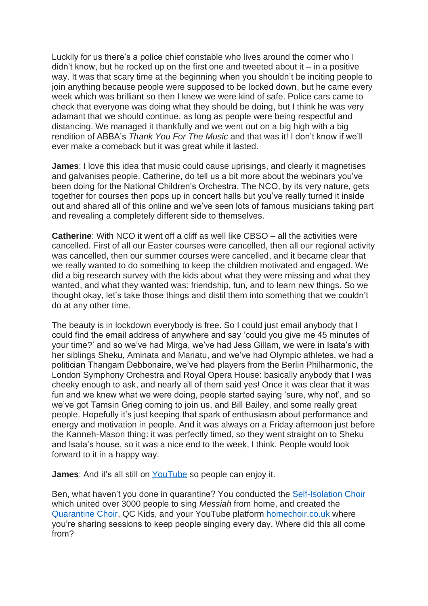Luckily for us there's a police chief constable who lives around the corner who I  $d$  didn't know, but he rocked up on the first one and tweeted about it – in a positive way. It was that scary time at the beginning when you shouldn't be inciting people to join anything because people were supposed to be locked down, but he came every week which was brilliant so then I knew we were kind of safe. Police cars came to check that everyone was doing what they should be doing, but I think he was very adamant that we should continue, as long as people were being respectful and distancing. We managed it thankfully and we went out on a big high with a big rendition of ABBA's *Thank You For The Music* and that was it! I don't know if we'll ever make a comeback but it was great while it lasted.

**James**: I love this idea that music could cause uprisings, and clearly it magnetises and galvanises people. Catherine, do tell us a bit more about the webinars you've been doing for the National Children's Orchestra. The NCO, by its very nature, gets together for courses then pops up in concert halls but you've really turned it inside out and shared all of this online and we've seen lots of famous musicians taking part and revealing a completely different side to themselves.

**Catherine**: With NCO it went off a cliff as well like CBSO – all the activities were cancelled. First of all our Easter courses were cancelled, then all our regional activity was cancelled, then our summer courses were cancelled, and it became clear that we really wanted to do something to keep the children motivated and engaged. We did a big research survey with the kids about what they were missing and what they wanted, and what they wanted was: friendship, fun, and to learn new things. So we thought okay, let's take those things and distil them into something that we couldn't do at any other time.

The beauty is in lockdown everybody is free. So I could just email anybody that I could find the email address of anywhere and say 'could you give me 45 minutes of your time?' and so we've had Mirga, we've had Jess Gillam, we were in Isata's with her siblings Sheku, Aminata and Mariatu, and we've had Olympic athletes, we had a politician Thangam Debbonaire, we've had players from the Berlin Philharmonic, the London Symphony Orchestra and Royal Opera House: basically anybody that I was cheeky enough to ask, and nearly all of them said yes! Once it was clear that it was fun and we knew what we were doing, people started saying 'sure, why not', and so we've got Tamsin Grieg coming to join us, and Bill Bailey, and some really great people. Hopefully it's just keeping that spark of enthusiasm about performance and energy and motivation in people. And it was always on a Friday afternoon just before the Kanneh-Mason thing: it was perfectly timed, so they went straight on to Sheku and Isata's house, so it was a nice end to the week, I think. People would look forward to it in a happy way.

**James**: And it's all still on [YouTube](https://www.youtube.com/user/ncogb) so people can enjoy it.

Ben, what haven't you done in quarantine? You conducted the [Self-Isolation Choir](https://www.theselfisolationchoir.com/) which united over 3000 people to sing *Messiah* from home, and created the [Quarantine Choir,](http://www.benengland.com/) QC Kids, and your YouTube platform [homechoir.co.uk](http://homechoir.uk/) where you're sharing sessions to keep people singing every day. Where did this all come from?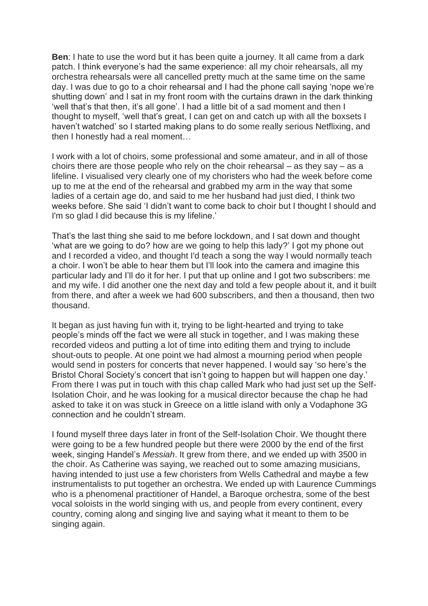**Ben**: I hate to use the word but it has been quite a journey. It all came from a dark patch. I think everyone's had the same experience: all my choir rehearsals, all my orchestra rehearsals were all cancelled pretty much at the same time on the same day. I was due to go to a choir rehearsal and I had the phone call saying 'nope we're shutting down' and I sat in my front room with the curtains drawn in the dark thinking 'well that's that then, it's all gone'. I had a little bit of a sad moment and then I thought to myself, 'well that's great, I can get on and catch up with all the boxsets I haven't watched' so I started making plans to do some really serious Netflixing, and then I honestly had a real moment…

I work with a lot of choirs, some professional and some amateur, and in all of those choirs there are those people who rely on the choir rehearsal – as they say – as a lifeline. I visualised very clearly one of my choristers who had the week before come up to me at the end of the rehearsal and grabbed my arm in the way that some ladies of a certain age do, and said to me her husband had just died, I think two weeks before. She said 'I didn't want to come back to choir but I thought I should and I'm so glad I did because this is my lifeline.'

That's the last thing she said to me before lockdown, and I sat down and thought 'what are we going to do? how are we going to help this lady?' I got my phone out and I recorded a video, and thought I'd teach a song the way I would normally teach a choir. I won't be able to hear them but I'll look into the camera and imagine this particular lady and I'll do it for her. I put that up online and I got two subscribers: me and my wife. I did another one the next day and told a few people about it, and it built from there, and after a week we had 600 subscribers, and then a thousand, then two thousand.

It began as just having fun with it, trying to be light-hearted and trying to take people's minds off the fact we were all stuck in together, and I was making these recorded videos and putting a lot of time into editing them and trying to include shout-outs to people. At one point we had almost a mourning period when people would send in posters for concerts that never happened. I would say 'so here's the Bristol Choral Society's concert that isn't going to happen but will happen one day.' From there I was put in touch with this chap called Mark who had just set up the Self-Isolation Choir, and he was looking for a musical director because the chap he had asked to take it on was stuck in Greece on a little island with only a Vodaphone 3G connection and he couldn't stream.

I found myself three days later in front of the Self-Isolation Choir. We thought there were going to be a few hundred people but there were 2000 by the end of the first week, singing Handel's *Messiah*. It grew from there, and we ended up with 3500 in the choir. As Catherine was saying, we reached out to some amazing musicians, having intended to just use a few choristers from Wells Cathedral and maybe a few instrumentalists to put together an orchestra. We ended up with Laurence Cummings who is a phenomenal practitioner of Handel, a Baroque orchestra, some of the best vocal soloists in the world singing with us, and people from every continent, every country, coming along and singing live and saying what it meant to them to be singing again.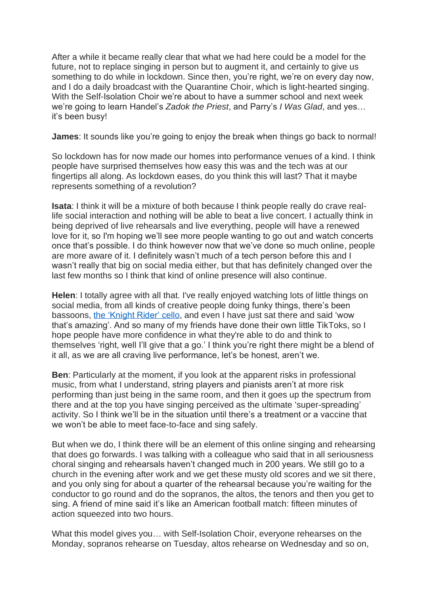After a while it became really clear that what we had here could be a model for the future, not to replace singing in person but to augment it, and certainly to give us something to do while in lockdown. Since then, you're right, we're on every day now, and I do a daily broadcast with the Quarantine Choir, which is light-hearted singing. With the Self-Isolation Choir we're about to have a summer school and next week we're going to learn Handel's *Zadok the Priest*, and Parry's *I Was Glad*, and yes… it's been busy!

**James**: It sounds like you're going to enjoy the break when things go back to normal!

So lockdown has for now made our homes into performance venues of a kind. I think people have surprised themselves how easy this was and the tech was at our fingertips all along. As lockdown eases, do you think this will last? That it maybe represents something of a revolution?

**Isata**: I think it will be a mixture of both because I think people really do crave reallife social interaction and nothing will be able to beat a live concert. I actually think in being deprived of live rehearsals and live everything, people will have a renewed love for it, so I'm hoping we'll see more people wanting to go out and watch concerts once that's possible. I do think however now that we've done so much online, people are more aware of it. I definitely wasn't much of a tech person before this and I wasn't really that big on social media either, but that has definitely changed over the last few months so I think that kind of online presence will also continue.

**Helen**: I totally agree with all that. I've really enjoyed watching lots of little things on social media, from all kinds of creative people doing funky things, there's been bassoons, [the 'Knight Rider' cello,](https://www.youtube.com/watch?v=eYf595EJAc4) and even I have just sat there and said 'wow that's amazing'. And so many of my friends have done their own little TikToks, so I hope people have more confidence in what they're able to do and think to themselves 'right, well I'll give that a go.' I think you're right there might be a blend of it all, as we are all craving live performance, let's be honest, aren't we.

**Ben**: Particularly at the moment, if you look at the apparent risks in professional music, from what I understand, string players and pianists aren't at more risk performing than just being in the same room, and then it goes up the spectrum from there and at the top you have singing perceived as the ultimate 'super-spreading' activity. So I think we'll be in the situation until there's a treatment or a vaccine that we won't be able to meet face-to-face and sing safely.

But when we do, I think there will be an element of this online singing and rehearsing that does go forwards. I was talking with a colleague who said that in all seriousness choral singing and rehearsals haven't changed much in 200 years. We still go to a church in the evening after work and we get these musty old scores and we sit there, and you only sing for about a quarter of the rehearsal because you're waiting for the conductor to go round and do the sopranos, the altos, the tenors and then you get to sing. A friend of mine said it's like an American football match: fifteen minutes of action squeezed into two hours.

What this model gives you… with Self-Isolation Choir, everyone rehearses on the Monday, sopranos rehearse on Tuesday, altos rehearse on Wednesday and so on,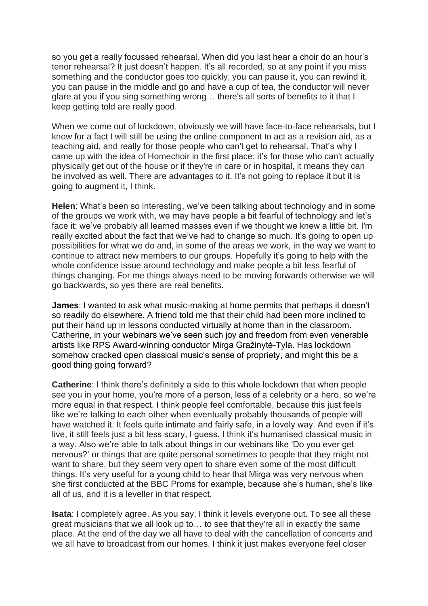so you get a really focussed rehearsal. When did you last hear a choir do an hour's tenor rehearsal? It just doesn't happen. It's all recorded, so at any point if you miss something and the conductor goes too quickly, you can pause it, you can rewind it, you can pause in the middle and go and have a cup of tea, the conductor will never glare at you if you sing something wrong… there's all sorts of benefits to it that I keep getting told are really good.

When we come out of lockdown, obviously we will have face-to-face rehearsals, but I know for a fact I will still be using the online component to act as a revision aid, as a teaching aid, and really for those people who can't get to rehearsal. That's why I came up with the idea of Homechoir in the first place: it's for those who can't actually physically get out of the house or if they're in care or in hospital, it means they can be involved as well. There are advantages to it. It's not going to replace it but it is going to augment it, I think.

**Helen**: What's been so interesting, we've been talking about technology and in some of the groups we work with, we may have people a bit fearful of technology and let's face it: we've probably all learned masses even if we thought we knew a little bit. I'm really excited about the fact that we've had to change so much. It's going to open up possibilities for what we do and, in some of the areas we work, in the way we want to continue to attract new members to our groups. Hopefully it's going to help with the whole confidence issue around technology and make people a bit less fearful of things changing. For me things always need to be moving forwards otherwise we will go backwards, so yes there are real benefits.

**James**: I wanted to ask what music-making at home permits that perhaps it doesn't so readily do elsewhere. A friend told me that their child had been more inclined to put their hand up in lessons conducted virtually at home than in the classroom. Catherine, in your webinars we've seen such joy and freedom from even venerable artists like RPS Award-winning conductor Mirga Gražinytė-Tyla. Has lockdown somehow cracked open classical music's sense of propriety, and might this be a good thing going forward?

**Catherine**: I think there's definitely a side to this whole lockdown that when people see you in your home, you're more of a person, less of a celebrity or a hero, so we're more equal in that respect. I think people feel comfortable, because this just feels like we're talking to each other when eventually probably thousands of people will have watched it. It feels quite intimate and fairly safe, in a lovely way. And even if it's live, it still feels just a bit less scary, I guess. I think it's humanised classical music in a way. Also we're able to talk about things in our webinars like 'Do you ever get nervous?' or things that are quite personal sometimes to people that they might not want to share, but they seem very open to share even some of the most difficult things. It's very useful for a young child to hear that Mirga was very nervous when she first conducted at the BBC Proms for example, because she's human, she's like all of us, and it is a leveller in that respect.

**Isata**: I completely agree. As you say, I think it levels everyone out. To see all these great musicians that we all look up to… to see that they're all in exactly the same place. At the end of the day we all have to deal with the cancellation of concerts and we all have to broadcast from our homes. I think it just makes everyone feel closer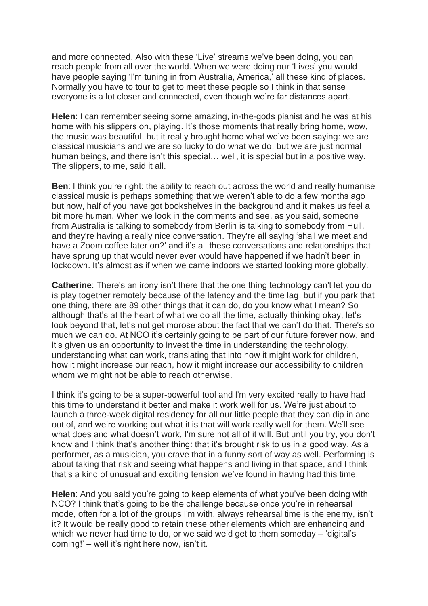and more connected. Also with these 'Live' streams we've been doing, you can reach people from all over the world. When we were doing our 'Lives' you would have people saying 'I'm tuning in from Australia, America,' all these kind of places. Normally you have to tour to get to meet these people so I think in that sense everyone is a lot closer and connected, even though we're far distances apart.

**Helen**: I can remember seeing some amazing, in-the-gods pianist and he was at his home with his slippers on, playing. It's those moments that really bring home, wow, the music was beautiful, but it really brought home what we've been saying: we are classical musicians and we are so lucky to do what we do, but we are just normal human beings, and there isn't this special… well, it is special but in a positive way. The slippers, to me, said it all.

**Ben**: I think you're right: the ability to reach out across the world and really humanise classical music is perhaps something that we weren't able to do a few months ago but now, half of you have got bookshelves in the background and it makes us feel a bit more human. When we look in the comments and see, as you said, someone from Australia is talking to somebody from Berlin is talking to somebody from Hull, and they're having a really nice conversation. They're all saying 'shall we meet and have a Zoom coffee later on?' and it's all these conversations and relationships that have sprung up that would never ever would have happened if we hadn't been in lockdown. It's almost as if when we came indoors we started looking more globally.

**Catherine:** There's an irony isn't there that the one thing technology can't let you do is play together remotely because of the latency and the time lag, but if you park that one thing, there are 89 other things that it can do, do you know what I mean? So although that's at the heart of what we do all the time, actually thinking okay, let's look beyond that, let's not get morose about the fact that we can't do that. There's so much we can do. At NCO it's certainly going to be part of our future forever now, and it's given us an opportunity to invest the time in understanding the technology, understanding what can work, translating that into how it might work for children, how it might increase our reach, how it might increase our accessibility to children whom we might not be able to reach otherwise.

I think it's going to be a super-powerful tool and I'm very excited really to have had this time to understand it better and make it work well for us. We're just about to launch a three-week digital residency for all our little people that they can dip in and out of, and we're working out what it is that will work really well for them. We'll see what does and what doesn't work, I'm sure not all of it will. But until you try, you don't know and I think that's another thing: that it's brought risk to us in a good way. As a performer, as a musician, you crave that in a funny sort of way as well. Performing is about taking that risk and seeing what happens and living in that space, and I think that's a kind of unusual and exciting tension we've found in having had this time.

**Helen**: And you said you're going to keep elements of what you've been doing with NCO? I think that's going to be the challenge because once you're in rehearsal mode, often for a lot of the groups I'm with, always rehearsal time is the enemy, isn't it? It would be really good to retain these other elements which are enhancing and which we never had time to do, or we said we'd get to them someday – 'digital's coming!' – well it's right here now, isn't it.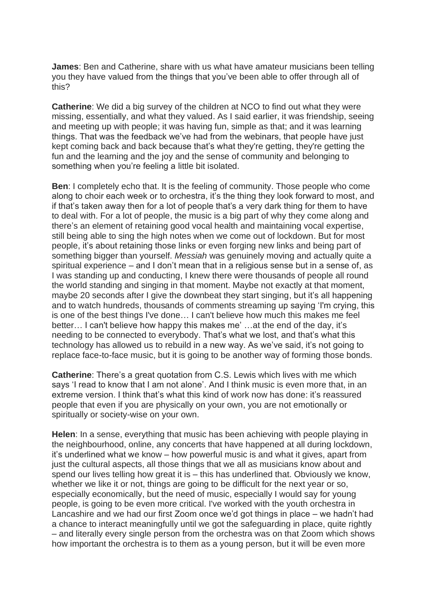**James**: Ben and Catherine, share with us what have amateur musicians been telling you they have valued from the things that you've been able to offer through all of this?

**Catherine**: We did a big survey of the children at NCO to find out what they were missing, essentially, and what they valued. As I said earlier, it was friendship, seeing and meeting up with people; it was having fun, simple as that; and it was learning things. That was the feedback we've had from the webinars, that people have just kept coming back and back because that's what they're getting, they're getting the fun and the learning and the joy and the sense of community and belonging to something when you're feeling a little bit isolated.

**Ben**: I completely echo that. It is the feeling of community. Those people who come along to choir each week or to orchestra, it's the thing they look forward to most, and if that's taken away then for a lot of people that's a very dark thing for them to have to deal with. For a lot of people, the music is a big part of why they come along and there's an element of retaining good vocal health and maintaining vocal expertise, still being able to sing the high notes when we come out of lockdown. But for most people, it's about retaining those links or even forging new links and being part of something bigger than yourself. *Messiah* was genuinely moving and actually quite a spiritual experience – and I don't mean that in a religious sense but in a sense of, as I was standing up and conducting, I knew there were thousands of people all round the world standing and singing in that moment. Maybe not exactly at that moment, maybe 20 seconds after I give the downbeat they start singing, but it's all happening and to watch hundreds, thousands of comments streaming up saying 'I'm crying, this is one of the best things I've done… I can't believe how much this makes me feel better… I can't believe how happy this makes me' …at the end of the day, it's needing to be connected to everybody. That's what we lost, and that's what this technology has allowed us to rebuild in a new way. As we've said, it's not going to replace face-to-face music, but it is going to be another way of forming those bonds.

**Catherine**: There's a great quotation from C.S. Lewis which lives with me which says 'I read to know that I am not alone'. And I think music is even more that, in an extreme version. I think that's what this kind of work now has done: it's reassured people that even if you are physically on your own, you are not emotionally or spiritually or society-wise on your own.

**Helen**: In a sense, everything that music has been achieving with people playing in the neighbourhood, online, any concerts that have happened at all during lockdown, it's underlined what we know – how powerful music is and what it gives, apart from just the cultural aspects, all those things that we all as musicians know about and spend our lives telling how great it is – this has underlined that. Obviously we know, whether we like it or not, things are going to be difficult for the next year or so, especially economically, but the need of music, especially I would say for young people, is going to be even more critical. I've worked with the youth orchestra in Lancashire and we had our first Zoom once we'd got things in place – we hadn't had a chance to interact meaningfully until we got the safeguarding in place, quite rightly – and literally every single person from the orchestra was on that Zoom which shows how important the orchestra is to them as a young person, but it will be even more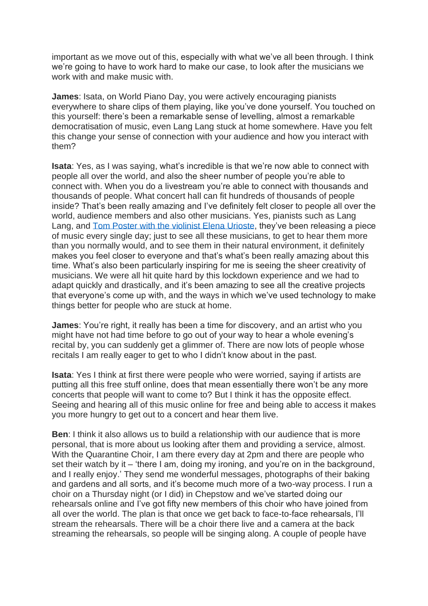important as we move out of this, especially with what we've all been through. I think we're going to have to work hard to make our case, to look after the musicians we work with and make music with.

**James**: Isata, on World Piano Day, you were actively encouraging pianists everywhere to share clips of them playing, like you've done yourself. You touched on this yourself: there's been a remarkable sense of levelling, almost a remarkable democratisation of music, even Lang Lang stuck at home somewhere. Have you felt this change your sense of connection with your audience and how you interact with them?

**Isata**: Yes, as I was saying, what's incredible is that we're now able to connect with people all over the world, and also the sheer number of people you're able to connect with. When you do a livestream you're able to connect with thousands and thousands of people. What concert hall can fit hundreds of thousands of people inside? That's been really amazing and I've definitely felt closer to people all over the world, audience members and also other musicians. Yes, pianists such as Lang Lang, and [Tom Poster with the violinist](https://www.elenaurioste.com/jukebox) Elena Urioste, they've been releasing a piece of music every single day; just to see all these musicians, to get to hear them more than you normally would, and to see them in their natural environment, it definitely makes you feel closer to everyone and that's what's been really amazing about this time. What's also been particularly inspiring for me is seeing the sheer creativity of musicians. We were all hit quite hard by this lockdown experience and we had to adapt quickly and drastically, and it's been amazing to see all the creative projects that everyone's come up with, and the ways in which we've used technology to make things better for people who are stuck at home.

**James**: You're right, it really has been a time for discovery, and an artist who you might have not had time before to go out of your way to hear a whole evening's recital by, you can suddenly get a glimmer of. There are now lots of people whose recitals I am really eager to get to who I didn't know about in the past.

**Isata**: Yes I think at first there were people who were worried, saying if artists are putting all this free stuff online, does that mean essentially there won't be any more concerts that people will want to come to? But I think it has the opposite effect. Seeing and hearing all of this music online for free and being able to access it makes you more hungry to get out to a concert and hear them live.

**Ben**: I think it also allows us to build a relationship with our audience that is more personal, that is more about us looking after them and providing a service, almost. With the Quarantine Choir, I am there every day at 2pm and there are people who set their watch by it – 'there I am, doing my ironing, and you're on in the background, and I really enjoy.' They send me wonderful messages, photographs of their baking and gardens and all sorts, and it's become much more of a two-way process. I run a choir on a Thursday night (or I did) in Chepstow and we've started doing our rehearsals online and I've got fifty new members of this choir who have joined from all over the world. The plan is that once we get back to face-to-face rehearsals, I'll stream the rehearsals. There will be a choir there live and a camera at the back streaming the rehearsals, so people will be singing along. A couple of people have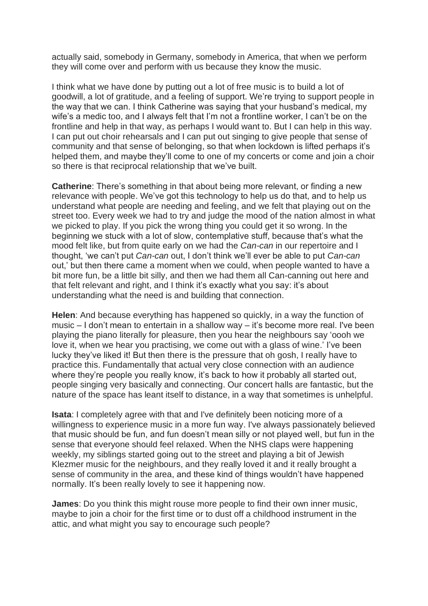actually said, somebody in Germany, somebody in America, that when we perform they will come over and perform with us because they know the music.

I think what we have done by putting out a lot of free music is to build a lot of goodwill, a lot of gratitude, and a feeling of support. We're trying to support people in the way that we can. I think Catherine was saying that your husband's medical, my wife's a medic too, and I always felt that I'm not a frontline worker, I can't be on the frontline and help in that way, as perhaps I would want to. But I can help in this way. I can put out choir rehearsals and I can put out singing to give people that sense of community and that sense of belonging, so that when lockdown is lifted perhaps it's helped them, and maybe they'll come to one of my concerts or come and join a choir so there is that reciprocal relationship that we've built.

**Catherine**: There's something in that about being more relevant, or finding a new relevance with people. We've got this technology to help us do that, and to help us understand what people are needing and feeling, and we felt that playing out on the street too. Every week we had to try and judge the mood of the nation almost in what we picked to play. If you pick the wrong thing you could get it so wrong. In the beginning we stuck with a lot of slow, contemplative stuff, because that's what the mood felt like, but from quite early on we had the *Can-can* in our repertoire and I thought, 'we can't put *Can-can* out, I don't think we'll ever be able to put *Can-can* out,' but then there came a moment when we could, when people wanted to have a bit more fun, be a little bit silly, and then we had them all Can-canning out here and that felt relevant and right, and I think it's exactly what you say: it's about understanding what the need is and building that connection.

**Helen**: And because everything has happened so quickly, in a way the function of music – I don't mean to entertain in a shallow way – it's become more real. I've been playing the piano literally for pleasure, then you hear the neighbours say 'oooh we love it, when we hear you practising, we come out with a glass of wine.' I've been lucky they've liked it! But then there is the pressure that oh gosh, I really have to practice this. Fundamentally that actual very close connection with an audience where they're people you really know, it's back to how it probably all started out, people singing very basically and connecting. Our concert halls are fantastic, but the nature of the space has leant itself to distance, in a way that sometimes is unhelpful.

**Isata**: I completely agree with that and I've definitely been noticing more of a willingness to experience music in a more fun way. I've always passionately believed that music should be fun, and fun doesn't mean silly or not played well, but fun in the sense that everyone should feel relaxed. When the NHS claps were happening weekly, my siblings started going out to the street and playing a bit of Jewish Klezmer music for the neighbours, and they really loved it and it really brought a sense of community in the area, and these kind of things wouldn't have happened normally. It's been really lovely to see it happening now.

**James**: Do you think this might rouse more people to find their own inner music, maybe to join a choir for the first time or to dust off a childhood instrument in the attic, and what might you say to encourage such people?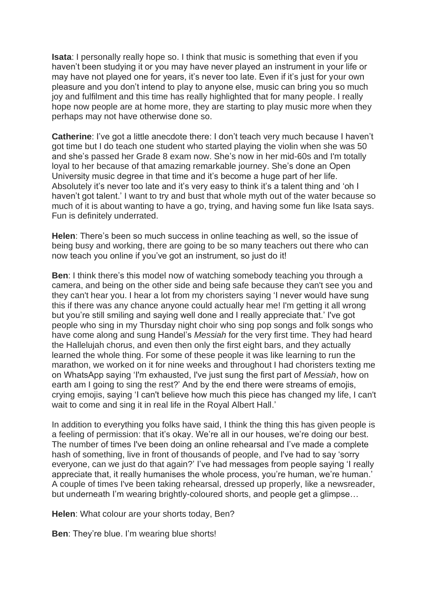**Isata**: I personally really hope so. I think that music is something that even if you haven't been studying it or you may have never played an instrument in your life or may have not played one for years, it's never too late. Even if it's just for your own pleasure and you don't intend to play to anyone else, music can bring you so much joy and fulfilment and this time has really highlighted that for many people. I really hope now people are at home more, they are starting to play music more when they perhaps may not have otherwise done so.

**Catherine**: I've got a little anecdote there: I don't teach very much because I haven't got time but I do teach one student who started playing the violin when she was 50 and she's passed her Grade 8 exam now. She's now in her mid-60s and I'm totally loyal to her because of that amazing remarkable journey. She's done an Open University music degree in that time and it's become a huge part of her life. Absolutely it's never too late and it's very easy to think it's a talent thing and 'oh I haven't got talent.' I want to try and bust that whole myth out of the water because so much of it is about wanting to have a go, trying, and having some fun like Isata says. Fun is definitely underrated.

**Helen**: There's been so much success in online teaching as well, so the issue of being busy and working, there are going to be so many teachers out there who can now teach you online if you've got an instrument, so just do it!

**Ben**: I think there's this model now of watching somebody teaching you through a camera, and being on the other side and being safe because they can't see you and they can't hear you. I hear a lot from my choristers saying 'I never would have sung this if there was any chance anyone could actually hear me! I'm getting it all wrong but you're still smiling and saying well done and I really appreciate that.' I've got people who sing in my Thursday night choir who sing pop songs and folk songs who have come along and sung Handel's *Messiah* for the very first time. They had heard the Hallelujah chorus, and even then only the first eight bars, and they actually learned the whole thing. For some of these people it was like learning to run the marathon, we worked on it for nine weeks and throughout I had choristers texting me on WhatsApp saying 'I'm exhausted, I've just sung the first part of *Messiah*, how on earth am I going to sing the rest?' And by the end there were streams of emojis, crying emojis, saying 'I can't believe how much this piece has changed my life, I can't wait to come and sing it in real life in the Royal Albert Hall.'

In addition to everything you folks have said, I think the thing this has given people is a feeling of permission: that it's okay. We're all in our houses, we're doing our best. The number of times I've been doing an online rehearsal and I've made a complete hash of something, live in front of thousands of people, and I've had to say 'sorry everyone, can we just do that again?' I've had messages from people saying 'I really appreciate that, it really humanises the whole process, you're human, we're human.' A couple of times I've been taking rehearsal, dressed up properly, like a newsreader, but underneath I'm wearing brightly-coloured shorts, and people get a glimpse…

**Helen**: What colour are your shorts today, Ben?

**Ben**: They're blue. I'm wearing blue shorts!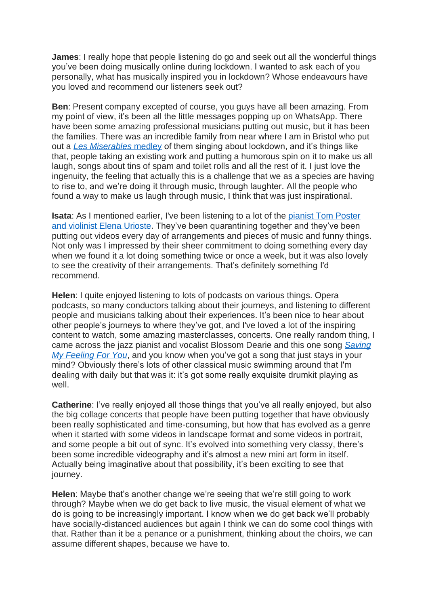**James**: I really hope that people listening do go and seek out all the wonderful things you've been doing musically online during lockdown. I wanted to ask each of you personally, what has musically inspired you in lockdown? Whose endeavours have you loved and recommend our listeners seek out?

**Ben**: Present company excepted of course, you guys have all been amazing. From my point of view, it's been all the little messages popping up on WhatsApp. There have been some amazing professional musicians putting out music, but it has been the families. There was an incredible family from near where I am in Bristol who put out a *[Les Miserables](https://www.youtube.com/watch?v=wdcS0Nbo7Ng)* medley of them singing about lockdown, and it's things like that, people taking an existing work and putting a humorous spin on it to make us all laugh, songs about tins of spam and toilet rolls and all the rest of it. I just love the ingenuity, the feeling that actually this is a challenge that we as a species are having to rise to, and we're doing it through music, through laughter. All the people who found a way to make us laugh through music, I think that was just inspirational.

**Isata:** As I mentioned earlier, I've been listening to a lot of the pianist Tom Poster [and violinist Elena Urioste.](https://www.elenaurioste.com/jukebox) They've been quarantining together and they've been putting out videos every day of arrangements and pieces of music and funny things. Not only was I impressed by their sheer commitment to doing something every day when we found it a lot doing something twice or once a week, but it was also lovely to see the creativity of their arrangements. That's definitely something I'd recommend.

**Helen**: I quite enjoyed listening to lots of podcasts on various things. Opera podcasts, so many conductors talking about their journeys, and listening to different people and musicians talking about their experiences. It's been nice to hear about other people's journeys to where they've got, and I've loved a lot of the inspiring content to watch, some amazing masterclasses, concerts. One really random thing, I came across the jazz pianist and vocalist Blossom Dearie and this one song *[Saving](https://www.youtube.com/watch?v=WVU_y935flA)  [My Feeling For You](https://www.youtube.com/watch?v=WVU_y935flA)*, and you know when you've got a song that just stays in your mind? Obviously there's lots of other classical music swimming around that I'm dealing with daily but that was it: it's got some really exquisite drumkit playing as well.

**Catherine**: I've really enjoyed all those things that you've all really enjoyed, but also the big collage concerts that people have been putting together that have obviously been really sophisticated and time-consuming, but how that has evolved as a genre when it started with some videos in landscape format and some videos in portrait, and some people a bit out of sync. It's evolved into something very classy, there's been some incredible videography and it's almost a new mini art form in itself. Actually being imaginative about that possibility, it's been exciting to see that journey.

**Helen**: Maybe that's another change we're seeing that we're still going to work through? Maybe when we do get back to live music, the visual element of what we do is going to be increasingly important. I know when we do get back we'll probably have socially-distanced audiences but again I think we can do some cool things with that. Rather than it be a penance or a punishment, thinking about the choirs, we can assume different shapes, because we have to.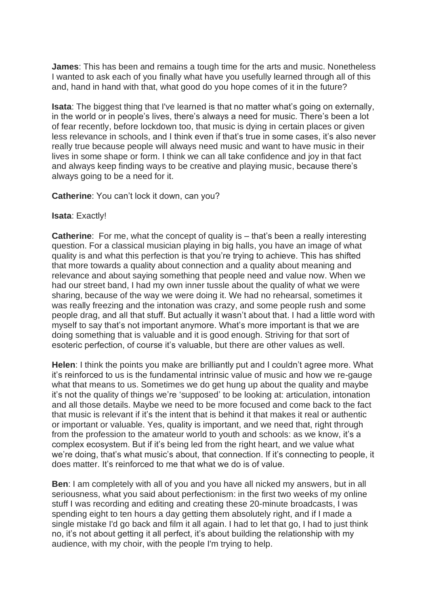**James**: This has been and remains a tough time for the arts and music. Nonetheless I wanted to ask each of you finally what have you usefully learned through all of this and, hand in hand with that, what good do you hope comes of it in the future?

**Isata**: The biggest thing that I've learned is that no matter what's going on externally, in the world or in people's lives, there's always a need for music. There's been a lot of fear recently, before lockdown too, that music is dying in certain places or given less relevance in schools, and I think even if that's true in some cases, it's also never really true because people will always need music and want to have music in their lives in some shape or form. I think we can all take confidence and joy in that fact and always keep finding ways to be creative and playing music, because there's always going to be a need for it.

**Catherine**: You can't lock it down, can you?

## **Isata**: Exactly!

**Catherine:** For me, what the concept of quality is – that's been a really interesting question. For a classical musician playing in big halls, you have an image of what quality is and what this perfection is that you're trying to achieve. This has shifted that more towards a quality about connection and a quality about meaning and relevance and about saying something that people need and value now. When we had our street band, I had my own inner tussle about the quality of what we were sharing, because of the way we were doing it. We had no rehearsal, sometimes it was really freezing and the intonation was crazy, and some people rush and some people drag, and all that stuff. But actually it wasn't about that. I had a little word with myself to say that's not important anymore. What's more important is that we are doing something that is valuable and it is good enough. Striving for that sort of esoteric perfection, of course it's valuable, but there are other values as well.

**Helen**: I think the points you make are brilliantly put and I couldn't agree more. What it's reinforced to us is the fundamental intrinsic value of music and how we re-gauge what that means to us. Sometimes we do get hung up about the quality and maybe it's not the quality of things we're 'supposed' to be looking at: articulation, intonation and all those details. Maybe we need to be more focused and come back to the fact that music is relevant if it's the intent that is behind it that makes it real or authentic or important or valuable. Yes, quality is important, and we need that, right through from the profession to the amateur world to youth and schools: as we know, it's a complex ecosystem. But if it's being led from the right heart, and we value what we're doing, that's what music's about, that connection. If it's connecting to people, it does matter. It's reinforced to me that what we do is of value.

**Ben**: I am completely with all of you and you have all nicked my answers, but in all seriousness, what you said about perfectionism: in the first two weeks of my online stuff I was recording and editing and creating these 20-minute broadcasts, I was spending eight to ten hours a day getting them absolutely right, and if I made a single mistake I'd go back and film it all again. I had to let that go, I had to just think no, it's not about getting it all perfect, it's about building the relationship with my audience, with my choir, with the people I'm trying to help.